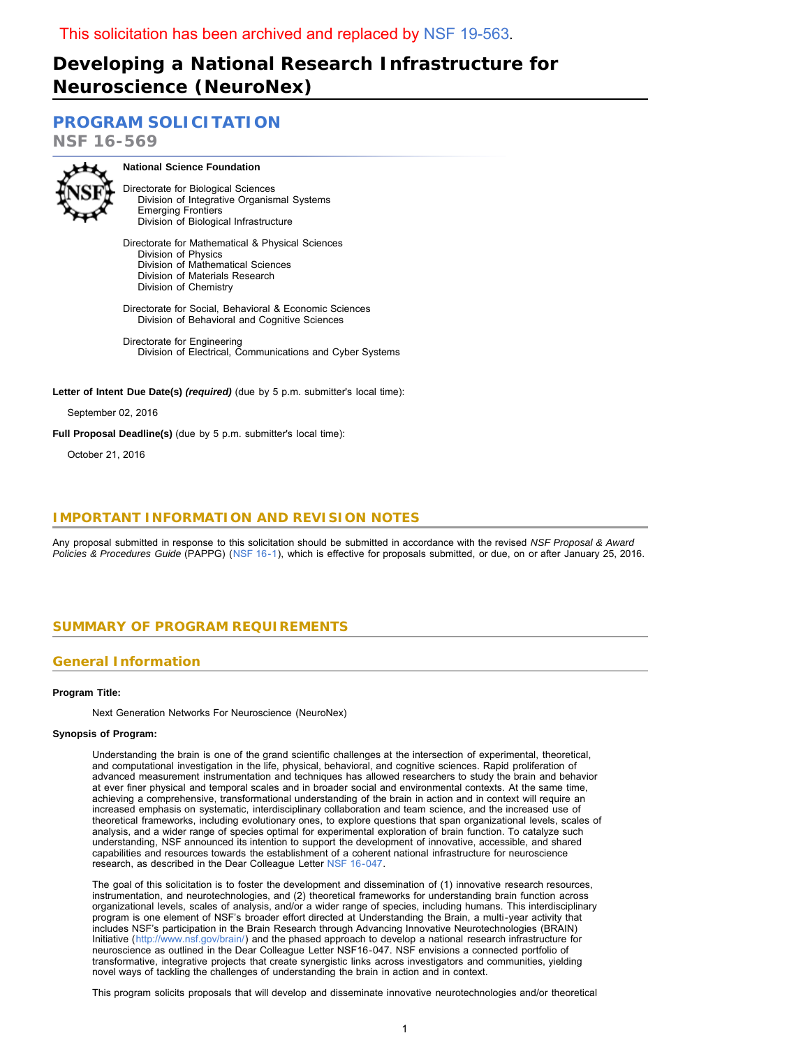# **Developing a National Research Infrastructure for Neuroscience (NeuroNex)**

**[PROGRAM SOLICITATION](#page-2-0)**

**NSF 16-569**



**National Science Foundation**

Directorate for Biological Sciences Division of Integrative Organismal Systems Emerging Frontiers Division of Biological Infrastructure

Directorate for Mathematical & Physical Sciences Division of Physics Division of Mathematical Sciences Division of Materials Research Division of Chemistry

Directorate for Social, Behavioral & Economic Sciences Division of Behavioral and Cognitive Sciences

Directorate for Engineering Division of Electrical, Communications and Cyber Systems

Letter of Intent Due Date(s) (required) (due by 5 p.m. submitter's local time):

September 02, 2016

**Full Proposal Deadline(s)** (due by 5 p.m. submitter's local time):

October 21, 2016

# **IMPORTANT INFORMATION AND REVISION NOTES**

<span id="page-0-0"></span>Any proposal submitted in response to this solicitation should be submitted in accordance with the revised *NSF Proposal & Award Policies & Procedures Guide* (PAPPG) ([NSF 16-1](http://www.nsf.gov/publications/pub_summ.jsp?ods_key=nsf16001)), which is effective for proposals submitted, or due, on or after January 25, 2016.

# **SUMMARY OF PROGRAM REQUIREMENTS**

# **General Information**

### **Program Title:**

Next Generation Networks For Neuroscience (NeuroNex)

### **Synopsis of Program:**

Understanding the brain is one of the grand scientific challenges at the intersection of experimental, theoretical, and computational investigation in the life, physical, behavioral, and cognitive sciences. Rapid proliferation of advanced measurement instrumentation and techniques has allowed researchers to study the brain and behavior at ever finer physical and temporal scales and in broader social and environmental contexts. At the same time, achieving a comprehensive, transformational understanding of the brain in action and in context will require an increased emphasis on systematic, interdisciplinary collaboration and team science, and the increased use of theoretical frameworks, including evolutionary ones, to explore questions that span organizational levels, scales of analysis, and a wider range of species optimal for experimental exploration of brain function. To catalyze such understanding, NSF announced its intention to support the development of innovative, accessible, and shared capabilities and resources towards the establishment of a coherent national infrastructure for neuroscience research, as described in the Dear Colleague Letter [NSF 16-047.](http://www.nsf.gov/pubs/2016/nsf16047/nsf16047.jsp)

The goal of this solicitation is to foster the development and dissemination of (1) innovative research resources, instrumentation, and neurotechnologies, and (2) theoretical frameworks for understanding brain function across organizational levels, scales of analysis, and/or a wider range of species, including humans. This interdisciplinary program is one element of NSF's broader effort directed at Understanding the Brain, a multi-year activity that includes NSF's participation in the Brain Research through Advancing Innovative Neurotechnologies (BRAIN) Initiative ([http://www.nsf.gov/brain/\)](http://www.nsf.gov/brain/) and the phased approach to develop a national research infrastructure for neuroscience as outlined in the Dear Colleague Letter NSF16-047. NSF envisions a connected portfolio of transformative, integrative projects that create synergistic links across investigators and communities, yielding novel ways of tackling the challenges of understanding the brain in action and in context.

This program solicits proposals that will develop and disseminate innovative neurotechnologies and/or theoretical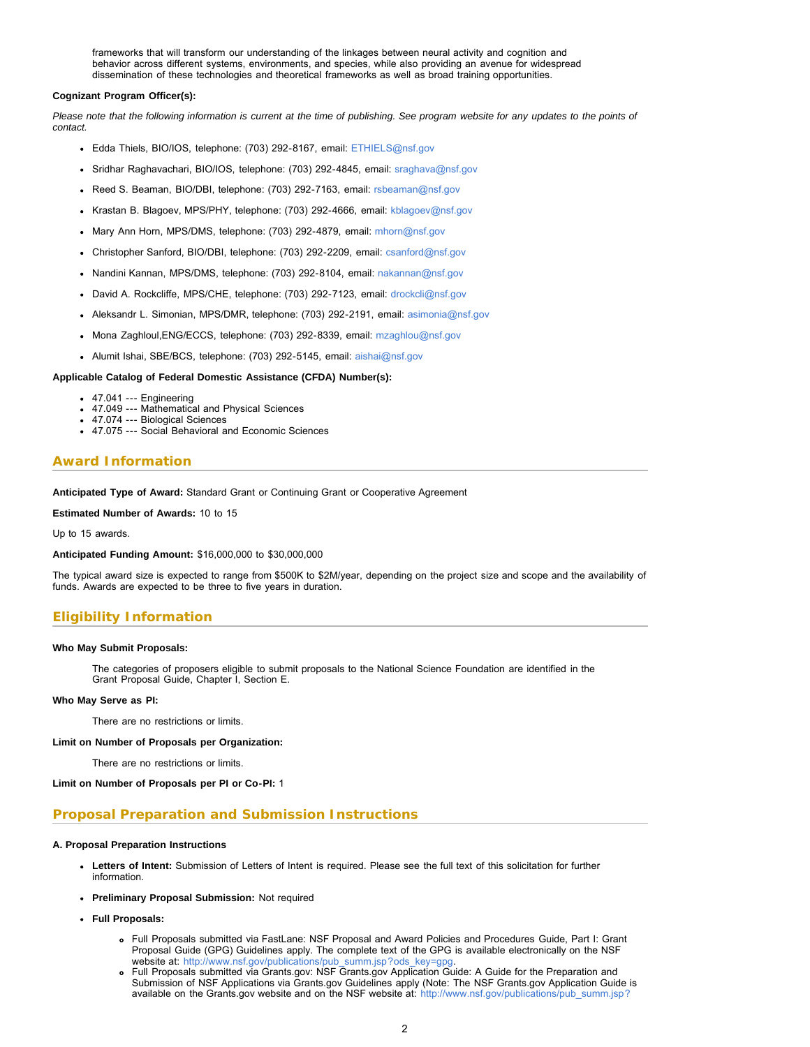frameworks that will transform our understanding of the linkages between neural activity and cognition and behavior across different systems, environments, and species, while also providing an avenue for widespread dissemination of these technologies and theoretical frameworks as well as broad training opportunities.

#### **Cognizant Program Officer(s):**

*Please note that the following information is current at the time of publishing. See program website for any updates to the points of contact.*

- Edda Thiels, BIO/IOS, telephone: (703) 292-8167, email: [ETHIELS@nsf.gov](mailto:ETHIELS@nsf.gov)
- Sridhar Raghavachari, BIO/IOS, telephone: (703) 292-4845, email: [sraghava@nsf.gov](mailto:sraghava@nsf.gov)
- Reed S. Beaman, BIO/DBI, telephone: (703) 292-7163, email: [rsbeaman@nsf.gov](mailto:rsbeaman@nsf.gov)
- Krastan B. Blagoev, MPS/PHY, telephone: (703) 292-4666, email: [kblagoev@nsf.gov](mailto:kblagoev@nsf.gov)
- Mary Ann Horn, MPS/DMS, telephone: (703) 292-4879, email: [mhorn@nsf.gov](mailto:mhorn@nsf.gov)
- Christopher Sanford, BIO/DBI, telephone: (703) 292-2209, email: [csanford@nsf.gov](mailto:csanford@nsf.gov)
- Nandini Kannan, MPS/DMS, telephone: (703) 292-8104, email: [nakannan@nsf.gov](mailto:nakannan@nsf.gov)
- David A. Rockcliffe, MPS/CHE, telephone: (703) 292-7123, email: [drockcli@nsf.gov](mailto:drockcli@nsf.gov)
- Aleksandr L. Simonian, MPS/DMR, telephone: (703) 292-2191, email: [asimonia@nsf.gov](mailto:asimonia@nsf.gov)
- Mona Zaghloul,ENG/ECCS, telephone: (703) 292-8339, email: [mzaghlou@nsf.gov](mailto:mzaghlou@nsf.gov)
- Alumit Ishai, SBE/BCS, telephone: (703) 292-5145, email: [aishai@nsf.gov](mailto:aishai@nsf.gov)

#### **Applicable Catalog of Federal Domestic Assistance (CFDA) Number(s):**

- 47.041 --- Engineering
- 47.049 --- Mathematical and Physical Sciences
- 47.074 --- Biological Sciences
- 47.075 --- Social Behavioral and Economic Sciences

### **Award Information**

**Anticipated Type of Award:** Standard Grant or Continuing Grant or Cooperative Agreement

#### **Estimated Number of Awards:** 10 to 15

Up to 15 awards.

**Anticipated Funding Amount:** \$16,000,000 to \$30,000,000

The typical award size is expected to range from \$500K to \$2M/year, depending on the project size and scope and the availability of funds. Awards are expected to be three to five years in duration.

# **Eligibility Information**

#### **Who May Submit Proposals:**

The categories of proposers eligible to submit proposals to the National Science Foundation are identified in the Grant Proposal Guide, Chapter I, Section E.

#### **Who May Serve as PI:**

There are no restrictions or limits.

#### **Limit on Number of Proposals per Organization:**

There are no restrictions or limits.

**Limit on Number of Proposals per PI or Co-PI:** 1

# **Proposal Preparation and Submission Instructions**

#### **A. Proposal Preparation Instructions**

- **Letters of Intent:** Submission of Letters of Intent is required. Please see the full text of this solicitation for further information.
- **Preliminary Proposal Submission:** Not required
- **Full Proposals:**
	- Full Proposals submitted via FastLane: NSF Proposal and Award Policies and Procedures Guide, Part I: Grant Proposal Guide (GPG) Guidelines apply. The complete text of the GPG is available electronically on the NSF website at: http://www.nsf.gov/publications/pub\_summ.jsp?ods\_key=gpg
	- Full Proposals submitted via Grants.gov: NSF Grants.gov Application Guide: A Guide for the Preparation and Submission of NSF Applications via Grants.gov Guidelines apply (Note: The NSF Grants.gov Application Guide is available on the Grants.gov website and on the NSF website at: [http://www.nsf.gov/publications/pub\\_summ.jsp?](http://www.nsf.gov/publications/pub_summ.jsp?ods_key=grantsgovguide)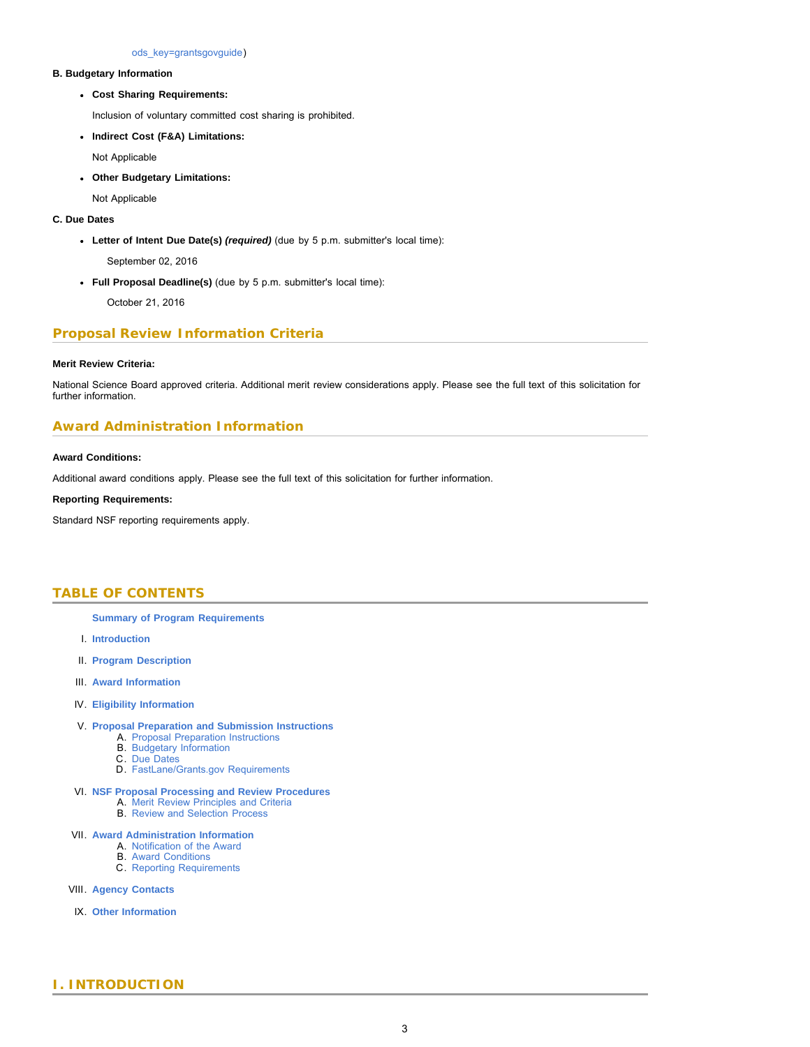[ods\\_key=grantsgovguide\)](http://www.nsf.gov/publications/pub_summ.jsp?ods_key=grantsgovguide)

### **B. Budgetary Information**

**Cost Sharing Requirements:**

Inclusion of voluntary committed cost sharing is prohibited.

**Indirect Cost (F&A) Limitations:**

Not Applicable

**Other Budgetary Limitations:**

Not Applicable

### **C. Due Dates**

**Letter of Intent Due Date(s)** *(required)* (due by 5 p.m. submitter's local time):

September 02, 2016

**Full Proposal Deadline(s)** (due by 5 p.m. submitter's local time):

October 21, 2016

# **Proposal Review Information Criteria**

### **Merit Review Criteria:**

National Science Board approved criteria. Additional merit review considerations apply. Please see the full text of this solicitation for further information.

# **Award Administration Information**

### **Award Conditions:**

Additional award conditions apply. Please see the full text of this solicitation for further information.

### **Reporting Requirements:**

<span id="page-2-0"></span>Standard NSF reporting requirements apply.

# **TABLE OF CONTENTS**

### **[Summary of Program Requirements](#page-0-0)**

- I. **[Introduction](#page-2-1)**
- II. **[Program Description](#page-3-0)**
- III. **[Award Information](#page-4-0)**
- IV. **[Eligibility Information](#page-4-1)**
- V. **[Proposal Preparation and Submission Instructions](#page-4-2)**
	- A. [Proposal Preparation Instructions](#page-4-2)
	- B. [Budgetary Information](#page-6-0)
	- C. [Due Dates](#page-6-1) D. [FastLane/Grants.gov Requirements](#page-6-2)
- VI. **[NSF Proposal Processing and Review Procedures](#page-7-0)**
	- A. [Merit Review Principles and Criteria](#page-7-1)
	- B. [Review and Selection Process](#page-8-0)
- VII. **[Award Administration Information](#page-9-0)**
	- A. [Notification of the Award](#page-9-1)
	- B. [Award Conditions](#page-9-2)
	- C. [Reporting Requirements](#page-9-3)
- VIII. **[Agency Contacts](#page-9-4)**
- <span id="page-2-1"></span>IX. **[Other Information](#page-10-0)**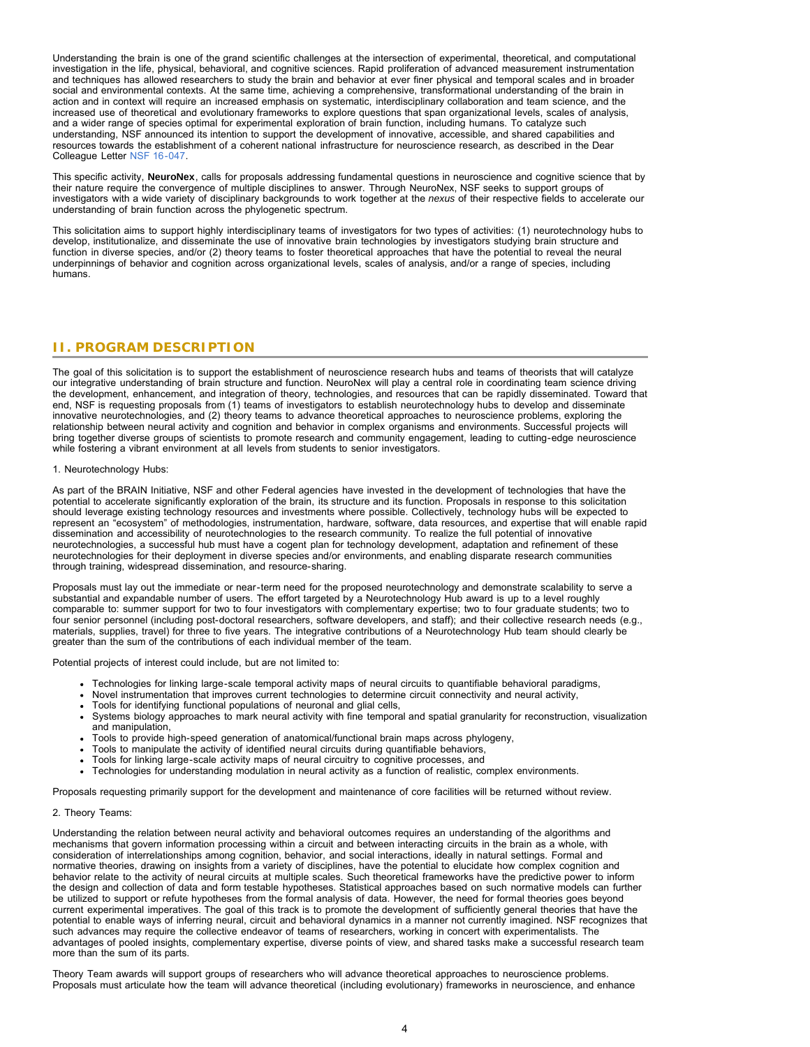Understanding the brain is one of the grand scientific challenges at the intersection of experimental, theoretical, and computational investigation in the life, physical, behavioral, and cognitive sciences. Rapid proliferation of advanced measurement instrumentation and techniques has allowed researchers to study the brain and behavior at ever finer physical and temporal scales and in broader social and environmental contexts. At the same time, achieving a comprehensive, transformational understanding of the brain in action and in context will require an increased emphasis on systematic, interdisciplinary collaboration and team science, and the increased use of theoretical and evolutionary frameworks to explore questions that span organizational levels, scales of analysis, and a wider range of species optimal for experimental exploration of brain function, including humans. To catalyze such understanding, NSF announced its intention to support the development of innovative, accessible, and shared capabilities and resources towards the establishment of a coherent national infrastructure for neuroscience research, as described in the Dear Colleague Letter [NSF 16-047](http://www.nsf.gov/pubs/2016/nsf16047/nsf16047.jsp).

This specific activity, **NeuroNex**, calls for proposals addressing fundamental questions in neuroscience and cognitive science that by their nature require the convergence of multiple disciplines to answer. Through NeuroNex, NSF seeks to support groups of investigators with a wide variety of disciplinary backgrounds to work together at the *nexus* of their respective fields to accelerate our understanding of brain function across the phylogenetic spectrum.

This solicitation aims to support highly interdisciplinary teams of investigators for two types of activities: (1) neurotechnology hubs to develop, institutionalize, and disseminate the use of innovative brain technologies by investigators studying brain structure and function in diverse species, and/or (2) theory teams to foster theoretical approaches that have the potential to reveal the neural underpinnings of behavior and cognition across organizational levels, scales of analysis, and/or a range of species, including humans.

### <span id="page-3-0"></span>**II. PROGRAM DESCRIPTION**

The goal of this solicitation is to support the establishment of neuroscience research hubs and teams of theorists that will catalyze our integrative understanding of brain structure and function. NeuroNex will play a central role in coordinating team science driving the development, enhancement, and integration of theory, technologies, and resources that can be rapidly disseminated. Toward that end, NSF is requesting proposals from (1) teams of investigators to establish neurotechnology hubs to develop and disseminate innovative neurotechnologies, and (2) theory teams to advance theoretical approaches to neuroscience problems, exploring the relationship between neural activity and cognition and behavior in complex organisms and environments. Successful projects will bring together diverse groups of scientists to promote research and community engagement, leading to cutting-edge neuroscience while fostering a vibrant environment at all levels from students to senior investigators.

#### 1. Neurotechnology Hubs:

As part of the BRAIN Initiative, NSF and other Federal agencies have invested in the development of technologies that have the potential to accelerate significantly exploration of the brain, its structure and its function. Proposals in response to this solicitation should leverage existing technology resources and investments where possible. Collectively, technology hubs will be expected to represent an "ecosystem" of methodologies, instrumentation, hardware, software, data resources, and expertise that will enable rapid dissemination and accessibility of neurotechnologies to the research community. To realize the full potential of innovative neurotechnologies, a successful hub must have a cogent plan for technology development, adaptation and refinement of these neurotechnologies for their deployment in diverse species and/or environments, and enabling disparate research communities through training, widespread dissemination, and resource-sharing.

Proposals must lay out the immediate or near-term need for the proposed neurotechnology and demonstrate scalability to serve a substantial and expandable number of users. The effort targeted by a Neurotechnology Hub award is up to a level roughly comparable to: summer support for two to four investigators with complementary expertise; two to four graduate students; two to four senior personnel (including post-doctoral researchers, software developers, and staff); and their collective research needs (e.g., materials, supplies, travel) for three to five years. The integrative contributions of a Neurotechnology Hub team should clearly be greater than the sum of the contributions of each individual member of the team.

Potential projects of interest could include, but are not limited to:

- Technologies for linking large-scale temporal activity maps of neural circuits to quantifiable behavioral paradigms,
- Novel instrumentation that improves current technologies to determine circuit connectivity and neural activity,
- Tools for identifying functional populations of neuronal and glial cells,
- Systems biology approaches to mark neural activity with fine temporal and spatial granularity for reconstruction, visualization and manipulation,
- Tools to provide high-speed generation of anatomical/functional brain maps across phylogeny,
- Tools to manipulate the activity of identified neural circuits during quantifiable behaviors,
- Tools for linking large-scale activity maps of neural circuitry to cognitive processes, and
- Technologies for understanding modulation in neural activity as a function of realistic, complex environments.

Proposals requesting primarily support for the development and maintenance of core facilities will be returned without review.

### 2. Theory Teams:

Understanding the relation between neural activity and behavioral outcomes requires an understanding of the algorithms and mechanisms that govern information processing within a circuit and between interacting circuits in the brain as a whole, with consideration of interrelationships among cognition, behavior, and social interactions, ideally in natural settings. Formal and normative theories, drawing on insights from a variety of disciplines, have the potential to elucidate how complex cognition and behavior relate to the activity of neural circuits at multiple scales. Such theoretical frameworks have the predictive power to inform the design and collection of data and form testable hypotheses. Statistical approaches based on such normative models can further be utilized to support or refute hypotheses from the formal analysis of data. However, the need for formal theories goes beyond current experimental imperatives. The goal of this track is to promote the development of sufficiently general theories that have the potential to enable ways of inferring neural, circuit and behavioral dynamics in a manner not currently imagined. NSF recognizes that such advances may require the collective endeavor of teams of researchers, working in concert with experimentalists. The advantages of pooled insights, complementary expertise, diverse points of view, and shared tasks make a successful research team more than the sum of its parts.

Theory Team awards will support groups of researchers who will advance theoretical approaches to neuroscience problems. Proposals must articulate how the team will advance theoretical (including evolutionary) frameworks in neuroscience, and enhance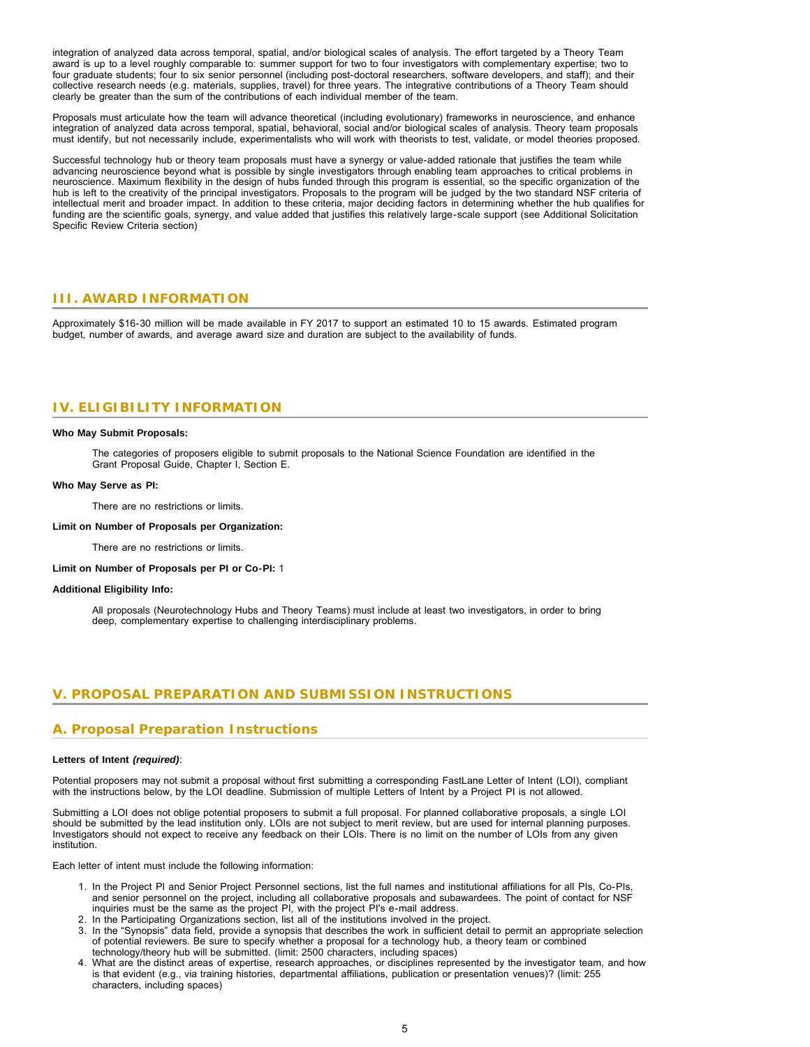integration of analyzed data across temporal, spatial, and/or biological scales of analysis. The effort targeted by a Theory Team award is up to a level roughly comparable to: summer support for two to four investigators with complementary expertise; two to four graduate students; four to six senior personnel (including post-doctoral researchers, software developers, and staff); and their collective research needs (e.g. materials, supplies, travel) for three years. The integrative contributions of a Theory Team should clearly be greater than the sum of the contributions of each individual member of the team.

Proposals must articulate how the team will advance theoretical (including evolutionary) frameworks in neuroscience, and enhance integration of analyzed data across temporal, spatial, behavioral, social and/or biological scales of analysis. Theory team proposals must identify, but not necessarily include, experimentalists who will work with theorists to test, validate, or model theories proposed.

Successful technology hub or theory team proposals must have a synergy or value-added rationale that justifies the team while advancing neuroscience beyond what is possible by single investigators through enabling team approaches to critical problems in neuroscience. Maximum flexibility in the design of hubs funded through this program is essential, so the specific organization of the hub is left to the creativity of the principal investigators. Proposals to the program will be judged by the two standard NSF criteria of intellectual merit and broader impact. In addition to these criteria, major deciding factors in determining whether the hub qualifies for funding are the scientific goals, synergy, and value added that justifies this relatively large-scale support (see Additional Solicitation Specific Review Criteria section)

### <span id="page-4-0"></span>**III. AWARD INFORMATION**

<span id="page-4-1"></span>Approximately \$16-30 million will be made available in FY 2017 to support an estimated 10 to 15 awards. Estimated program budget, number of awards, and average award size and duration are subject to the availability of funds.

# **IV. ELIGIBILITY INFORMATION**

#### **Who May Submit Proposals:**

The categories of proposers eligible to submit proposals to the National Science Foundation are identified in the Grant Proposal Guide, Chapter I, Section E.

#### **Who May Serve as PI:**

There are no restrictions or limits.

#### **Limit on Number of Proposals per Organization:**

There are no restrictions or limits.

**Limit on Number of Proposals per PI or Co-PI:** 1

### **Additional Eligibility Info:**

All proposals (Neurotechnology Hubs and Theory Teams) must include at least two investigators, in order to bring deep, complementary expertise to challenging interdisciplinary problems.

# <span id="page-4-2"></span>**V. PROPOSAL PREPARATION AND SUBMISSION INSTRUCTIONS**

# **A. Proposal Preparation Instructions**

### **Letters of Intent** *(required)*:

Potential proposers may not submit a proposal without first submitting a corresponding FastLane Letter of Intent (LOI), compliant with the instructions below, by the LOI deadline. Submission of multiple Letters of Intent by a Project PI is not allowed.

Submitting a LOI does not oblige potential proposers to submit a full proposal. For planned collaborative proposals, a single LOI should be submitted by the lead institution only. LOIs are not subject to merit review, but are used for internal planning purposes. Investigators should not expect to receive any feedback on their LOIs. There is no limit on the number of LOIs from any given institution.

Each letter of intent must include the following information:

- 1. In the Project PI and Senior Project Personnel sections, list the full names and institutional affiliations for all PIs, Co-PIs, and senior personnel on the project, including all collaborative proposals and subawardees. The point of contact for NSF inquiries must be the same as the project PI, with the project PI's e-mail address.
- 2. In the Participating Organizations section, list all of the institutions involved in the project.
- 3. In the "Synopsis" data field, provide a synopsis that describes the work in sufficient detail to permit an appropriate selection of potential reviewers. Be sure to specify whether a proposal for a technology hub, a theory team or combined technology/theory hub will be submitted. (limit: 2500 characters, including spaces)
- 4. What are the distinct areas of expertise, research approaches, or disciplines represented by the investigator team, and how is that evident (e.g., via training histories, departmental affiliations, publication or presentation venues)? (limit: 255 characters, including spaces)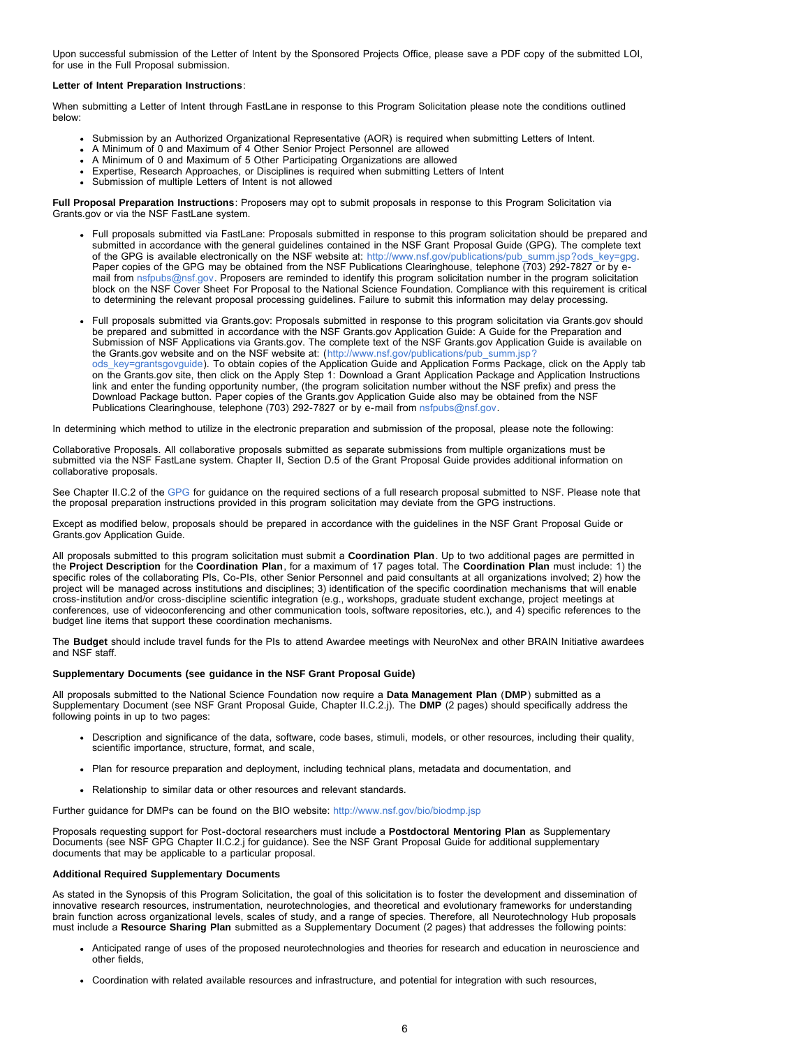Upon successful submission of the Letter of Intent by the Sponsored Projects Office, please save a PDF copy of the submitted LOI, for use in the Full Proposal submission.

#### **Letter of Intent Preparation Instructions**:

When submitting a Letter of Intent through FastLane in response to this Program Solicitation please note the conditions outlined below:

- Submission by an Authorized Organizational Representative (AOR) is required when submitting Letters of Intent.
- A Minimum of 0 and Maximum of 4 Other Senior Project Personnel are allowed
- A Minimum of 0 and Maximum of 5 Other Participating Organizations are allowed Expertise, Research Approaches, or Disciplines is required when submitting Letters of Intent
- Submission of multiple Letters of Intent is not allowed

**Full Proposal Preparation Instructions**: Proposers may opt to submit proposals in response to this Program Solicitation via Grants.gov or via the NSF FastLane system.

- Full proposals submitted via FastLane: Proposals submitted in response to this program solicitation should be prepared and submitted in accordance with the general guidelines contained in the NSF Grant Proposal Guide (GPG). The complete text of the GPG is available electronically on the NSF website at: [http://www.nsf.gov/publications/pub\\_summ.jsp?ods\\_key=gpg.](http://www.nsf.gov/publications/pub_summ.jsp?ods_key=gpg) Paper copies of the GPG may be obtained from the NSF Publications Clearinghouse, telephone (703) 292-7827 or by email from [nsfpubs@nsf.gov.](mailto:nsfpubs@nsf.gov) Proposers are reminded to identify this program solicitation number in the program solicitation block on the NSF Cover Sheet For Proposal to the National Science Foundation. Compliance with this requirement is critical to determining the relevant proposal processing guidelines. Failure to submit this information may delay processing.
- Full proposals submitted via Grants.gov: Proposals submitted in response to this program solicitation via Grants.gov should be prepared and submitted in accordance with the NSF Grants.gov Application Guide: A Guide for the Preparation and Submission of NSF Applications via Grants.gov. The complete text of the NSF Grants.gov Application Guide is available on the Grants.gov website and on the NSF website at: ([http://www.nsf.gov/publications/pub\\_summ.jsp?](http://www.nsf.gov/publications/pub_summ.jsp?ods_key=grantsgovguide) [ods\\_key=grantsgovguide\)](http://www.nsf.gov/publications/pub_summ.jsp?ods_key=grantsgovguide). To obtain copies of the Application Guide and Application Forms Package, click on the Apply tab on the Grants.gov site, then click on the Apply Step 1: Download a Grant Application Package and Application Instructions link and enter the funding opportunity number, (the program solicitation number without the NSF prefix) and press the Download Package button. Paper copies of the Grants.gov Application Guide also may be obtained from the NSF Publications Clearinghouse, telephone (703) 292-7827 or by e-mail from [nsfpubs@nsf.gov.](mailto:nsfpubs@nsf.gov)

In determining which method to utilize in the electronic preparation and submission of the proposal, please note the following:

Collaborative Proposals. All collaborative proposals submitted as separate submissions from multiple organizations must be submitted via the NSF FastLane system. Chapter II, Section D.5 of the Grant Proposal Guide provides additional information on collaborative proposals.

See Chapter II.C.2 of the [GPG](http://www.nsf.gov/publications/pub_summ.jsp?ods_key=gpg) for guidance on the required sections of a full research proposal submitted to NSF. Please note that the proposal preparation instructions provided in this program solicitation may deviate from the GPG instructions.

Except as modified below, proposals should be prepared in accordance with the guidelines in the NSF Grant Proposal Guide or Grants.gov Application Guide.

All proposals submitted to this program solicitation must submit a **Coordination Plan**. Up to two additional pages are permitted in the **Project Description** for the **Coordination Plan**, for a maximum of 17 pages total. The **Coordination Plan** must include: 1) the specific roles of the collaborating PIs, Co-PIs, other Senior Personnel and paid consultants at all organizations involved; 2) how the project will be managed across institutions and disciplines; 3) identification of the specific coordination mechanisms that will enable cross-institution and/or cross-discipline scientific integration (e.g., workshops, graduate student exchange, project meetings at conferences, use of videoconferencing and other communication tools, software repositories, etc.), and 4) specific references to the budget line items that support these coordination mechanisms.

The **Budget** should include travel funds for the PIs to attend Awardee meetings with NeuroNex and other BRAIN Initiative awardees and NSF staff.

### **Supplementary Documents (see guidance in the NSF Grant Proposal Guide)**

All proposals submitted to the National Science Foundation now require a **Data Management Plan** (**DMP**) submitted as a Supplementary Document (see NSF Grant Proposal Guide, Chapter II.C.2.j). The **DMP** (2 pages) should specifically address the following points in up to two pages:

- Description and significance of the data, software, code bases, stimuli, models, or other resources, including their quality, scientific importance, structure, format, and scale,
- Plan for resource preparation and deployment, including technical plans, metadata and documentation, and
- Relationship to similar data or other resources and relevant standards.

Further guidance for DMPs can be found on the BIO website: <http://www.nsf.gov/bio/biodmp.jsp>

Proposals requesting support for Post-doctoral researchers must include a **Postdoctoral Mentoring Plan** as Supplementary Documents (see NSF GPG Chapter II.C.2.j for guidance). See the NSF Grant Proposal Guide for additional supplementary documents that may be applicable to a particular proposal.

#### **Additional Required Supplementary Documents**

As stated in the Synopsis of this Program Solicitation, the goal of this solicitation is to foster the development and dissemination of innovative research resources, instrumentation, neurotechnologies, and theoretical and evolutionary frameworks for understanding brain function across organizational levels, scales of study, and a range of species. Therefore, all Neurotechnology Hub proposals must include a **Resource Sharing Plan** submitted as a Supplementary Document (2 pages) that addresses the following points:

- Anticipated range of uses of the proposed neurotechnologies and theories for research and education in neuroscience and other fields,
- Coordination with related available resources and infrastructure, and potential for integration with such resources,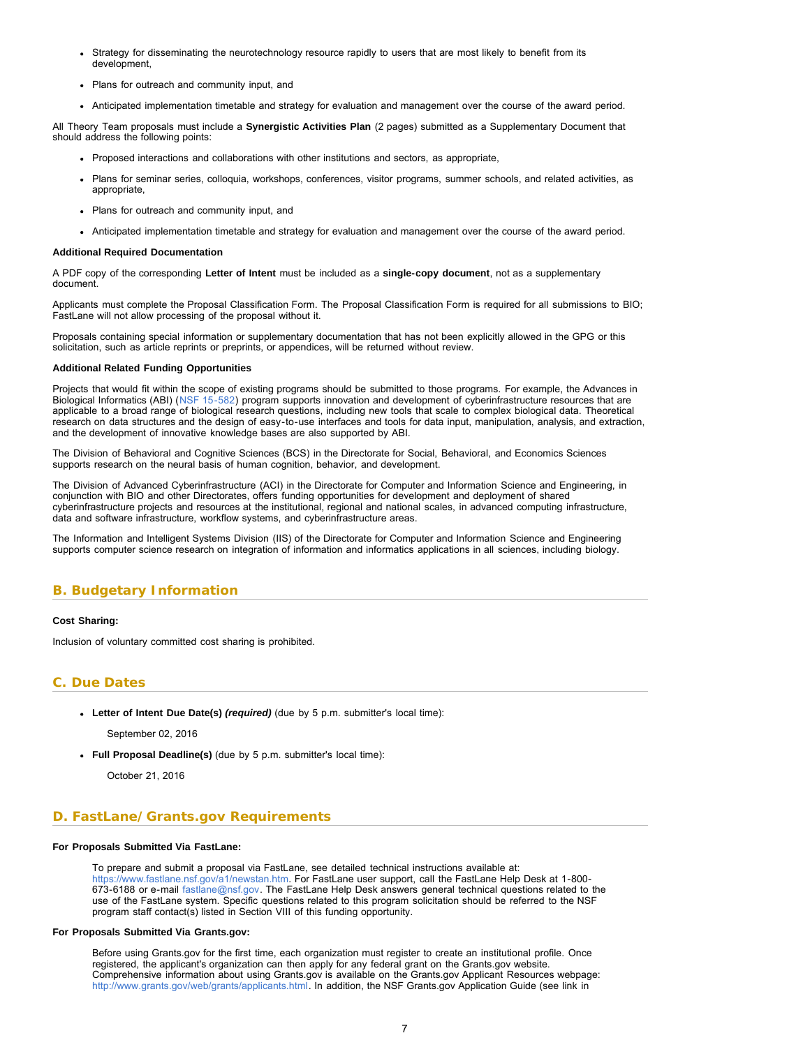- <span id="page-6-1"></span>Strategy for disseminating the neurotechnology resource rapidly to users that are most likely to benefit from its development,
- Plans for outreach and community input, and
- Anticipated implementation timetable and strategy for evaluation and management over the course of the award period.

All Theory Team proposals must include a **Synergistic Activities Plan** (2 pages) submitted as a Supplementary Document that should address the following points:

- Proposed interactions and collaborations with other institutions and sectors, as appropriate,
- Plans for seminar series, colloquia, workshops, conferences, visitor programs, summer schools, and related activities, as appropriate,
- Plans for outreach and community input, and
- Anticipated implementation timetable and strategy for evaluation and management over the course of the award period.

#### **Additional Required Documentation**

A PDF copy of the corresponding **Letter of Intent** must be included as a **single-copy document**, not as a supplementary document.

Applicants must complete the Proposal Classification Form. The Proposal Classification Form is required for all submissions to BIO; FastLane will not allow processing of the proposal without it.

Proposals containing special information or supplementary documentation that has not been explicitly allowed in the GPG or this solicitation, such as article reprints or preprints, or appendices, will be returned without review.

#### **Additional Related Funding Opportunities**

Projects that would fit within the scope of existing programs should be submitted to those programs. For example, the Advances in Biological Informatics (ABI) ([NSF 15-582\)](https://www.nsf.gov/publications/pub_summ.jsp?WT.z_pims_id=5444&ods_key=nsf15582) program supports innovation and development of cyberinfrastructure resources that are applicable to a broad range of biological research questions, including new tools that scale to complex biological data. Theoretical research on data structures and the design of easy-to-use interfaces and tools for data input, manipulation, analysis, and extraction, and the development of innovative knowledge bases are also supported by ABI.

The Division of Behavioral and Cognitive Sciences (BCS) in the Directorate for Social, Behavioral, and Economics Sciences supports research on the neural basis of human cognition, behavior, and development.

The Division of Advanced Cyberinfrastructure (ACI) in the Directorate for Computer and Information Science and Engineering, in conjunction with BIO and other Directorates, offers funding opportunities for development and deployment of shared cyberinfrastructure projects and resources at the institutional, regional and national scales, in advanced computing infrastructure, data and software infrastructure, workflow systems, and cyberinfrastructure areas.

The Information and Intelligent Systems Division (IIS) of the Directorate for Computer and Information Science and Engineering supports computer science research on integration of information and informatics applications in all sciences, including biology.

# <span id="page-6-0"></span>**B. Budgetary Information**

### **Cost Sharing:**

Inclusion of voluntary committed cost sharing is prohibited.

# **C. Due Dates**

**Letter of Intent Due Date(s)** *(required)* (due by 5 p.m. submitter's local time):

September 02, 2016

**Full Proposal Deadline(s)** (due by 5 p.m. submitter's local time):

October 21, 2016

# <span id="page-6-2"></span>**D. FastLane/Grants.gov Requirements**

### **For Proposals Submitted Via FastLane:**

To prepare and submit a proposal via FastLane, see detailed technical instructions available at: [https://www.fastlane.nsf.gov/a1/newstan.htm.](https://www.fastlane.nsf.gov/a1/newstan.htm) For FastLane user support, call the FastLane Help Desk at 1-800- 673-6188 or e-mail [fastlane@nsf.gov.](mailto:fastlane@nsf.gov) The FastLane Help Desk answers general technical questions related to the use of the FastLane system. Specific questions related to this program solicitation should be referred to the NSF program staff contact(s) listed in Section VIII of this funding opportunity.

### **For Proposals Submitted Via Grants.gov:**

Before using Grants.gov for the first time, each organization must register to create an institutional profile. Once registered, the applicant's organization can then apply for any federal grant on the Grants.gov website. Comprehensive information about using Grants.gov is available on the Grants.gov Applicant Resources webpage: [http://www.grants.gov/web/grants/applicants.html.](http://www.grants.gov/web/grants/applicants.html) In addition, the NSF Grants.gov Application Guide (see link in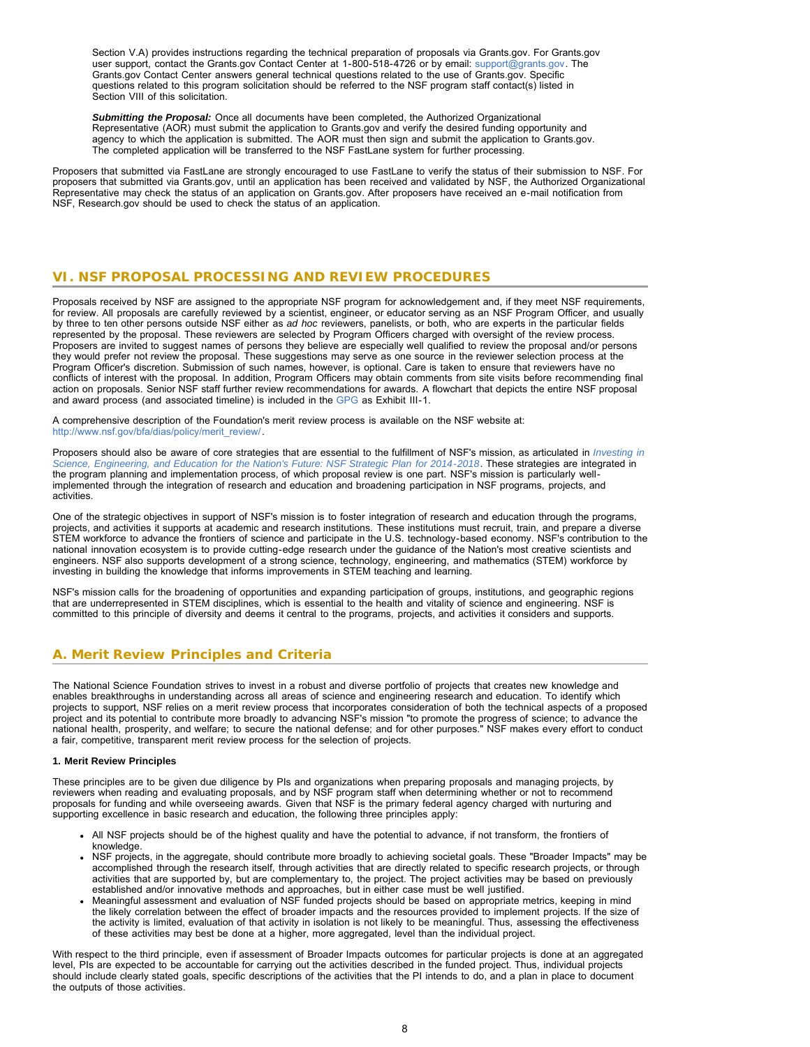Section V.A) provides instructions regarding the technical preparation of proposals via Grants.gov. For Grants.gov user support, contact the Grants.gov Contact Center at 1-800-518-4726 or by email: [support@grants.gov](mailto:support@grants.gov). The Grants.gov Contact Center answers general technical questions related to the use of Grants.gov. Specific questions related to this program solicitation should be referred to the NSF program staff contact(s) listed in Section VIII of this solicitation.

*Submitting the Proposal:* Once all documents have been completed, the Authorized Organizational Representative (AOR) must submit the application to Grants.gov and verify the desired funding opportunity and agency to which the application is submitted. The AOR must then sign and submit the application to Grants.gov. The completed application will be transferred to the NSF FastLane system for further processing.

Proposers that submitted via FastLane are strongly encouraged to use FastLane to verify the status of their submission to NSF. For proposers that submitted via Grants.gov, until an application has been received and validated by NSF, the Authorized Organizational Representative may check the status of an application on Grants.gov. After proposers have received an e-mail notification from NSF, Research.gov should be used to check the status of an application.

# <span id="page-7-0"></span>**VI. NSF PROPOSAL PROCESSING AND REVIEW PROCEDURES**

Proposals received by NSF are assigned to the appropriate NSF program for acknowledgement and, if they meet NSF requirements, for review. All proposals are carefully reviewed by a scientist, engineer, or educator serving as an NSF Program Officer, and usually by three to ten other persons outside NSF either as *ad hoc* reviewers, panelists, or both, who are experts in the particular fields represented by the proposal. These reviewers are selected by Program Officers charged with oversight of the review process. Proposers are invited to suggest names of persons they believe are especially well qualified to review the proposal and/or persons they would prefer not review the proposal. These suggestions may serve as one source in the reviewer selection process at the Program Officer's discretion. Submission of such names, however, is optional. Care is taken to ensure that reviewers have no conflicts of interest with the proposal. In addition, Program Officers may obtain comments from site visits before recommending final action on proposals. Senior NSF staff further review recommendations for awards. A flowchart that depicts the entire NSF proposal and award process (and associated timeline) is included in the [GPG](http://www.nsf.gov/publications/pub_summ.jsp?ods_key=gpg) as Exhibit III-1.

A comprehensive description of the Foundation's merit review process is available on the NSF website at: [http://www.nsf.gov/bfa/dias/policy/merit\\_review/](http://www.nsf.gov/bfa/dias/policy/merit_review/).

Proposers should also be aware of core strategies that are essential to the fulfillment of NSF's mission, as articulated in *[Investing in](http://www.nsf.gov/publications/pub_summ.jsp?ods_key=nsf14043) [Science, Engineering, and Education for the Nation's Future: NSF Strategic Plan for 2014-2018](http://www.nsf.gov/publications/pub_summ.jsp?ods_key=nsf14043)*. These strategies are integrated in the program planning and implementation process, of which proposal review is one part. NSF's mission is particularly wellimplemented through the integration of research and education and broadening participation in NSF programs, projects, and activities.

One of the strategic objectives in support of NSF's mission is to foster integration of research and education through the programs, projects, and activities it supports at academic and research institutions. These institutions must recruit, train, and prepare a diverse STEM workforce to advance the frontiers of science and participate in the U.S. technology-based economy. NSF's contribution to the national innovation ecosystem is to provide cutting-edge research under the guidance of the Nation's most creative scientists and engineers. NSF also supports development of a strong science, technology, engineering, and mathematics (STEM) workforce by investing in building the knowledge that informs improvements in STEM teaching and learning.

NSF's mission calls for the broadening of opportunities and expanding participation of groups, institutions, and geographic regions that are underrepresented in STEM disciplines, which is essential to the health and vitality of science and engineering. NSF is committed to this principle of diversity and deems it central to the programs, projects, and activities it considers and supports.

# <span id="page-7-1"></span>**A. Merit Review Principles and Criteria**

The National Science Foundation strives to invest in a robust and diverse portfolio of projects that creates new knowledge and enables breakthroughs in understanding across all areas of science and engineering research and education. To identify which projects to support, NSF relies on a merit review process that incorporates consideration of both the technical aspects of a proposed project and its potential to contribute more broadly to advancing NSF's mission "to promote the progress of science; to advance the national health, prosperity, and welfare; to secure the national defense; and for other purposes." NSF makes every effort to conduct a fair, competitive, transparent merit review process for the selection of projects.

### **1. Merit Review Principles**

These principles are to be given due diligence by PIs and organizations when preparing proposals and managing projects, by reviewers when reading and evaluating proposals, and by NSF program staff when determining whether or not to recommend proposals for funding and while overseeing awards. Given that NSF is the primary federal agency charged with nurturing and supporting excellence in basic research and education, the following three principles apply:

- All NSF projects should be of the highest quality and have the potential to advance, if not transform, the frontiers of knowledge.
- NSF projects, in the aggregate, should contribute more broadly to achieving societal goals. These "Broader Impacts" may be accomplished through the research itself, through activities that are directly related to specific research projects, or through activities that are supported by, but are complementary to, the project. The project activities may be based on previously established and/or innovative methods and approaches, but in either case must be well justified.
- Meaningful assessment and evaluation of NSF funded projects should be based on appropriate metrics, keeping in mind the likely correlation between the effect of broader impacts and the resources provided to implement projects. If the size of the activity is limited, evaluation of that activity in isolation is not likely to be meaningful. Thus, assessing the effectiveness of these activities may best be done at a higher, more aggregated, level than the individual project.

With respect to the third principle, even if assessment of Broader Impacts outcomes for particular projects is done at an aggregated level, PIs are expected to be accountable for carrying out the activities described in the funded project. Thus, individual projects should include clearly stated goals, specific descriptions of the activities that the PI intends to do, and a plan in place to document the outputs of those activities.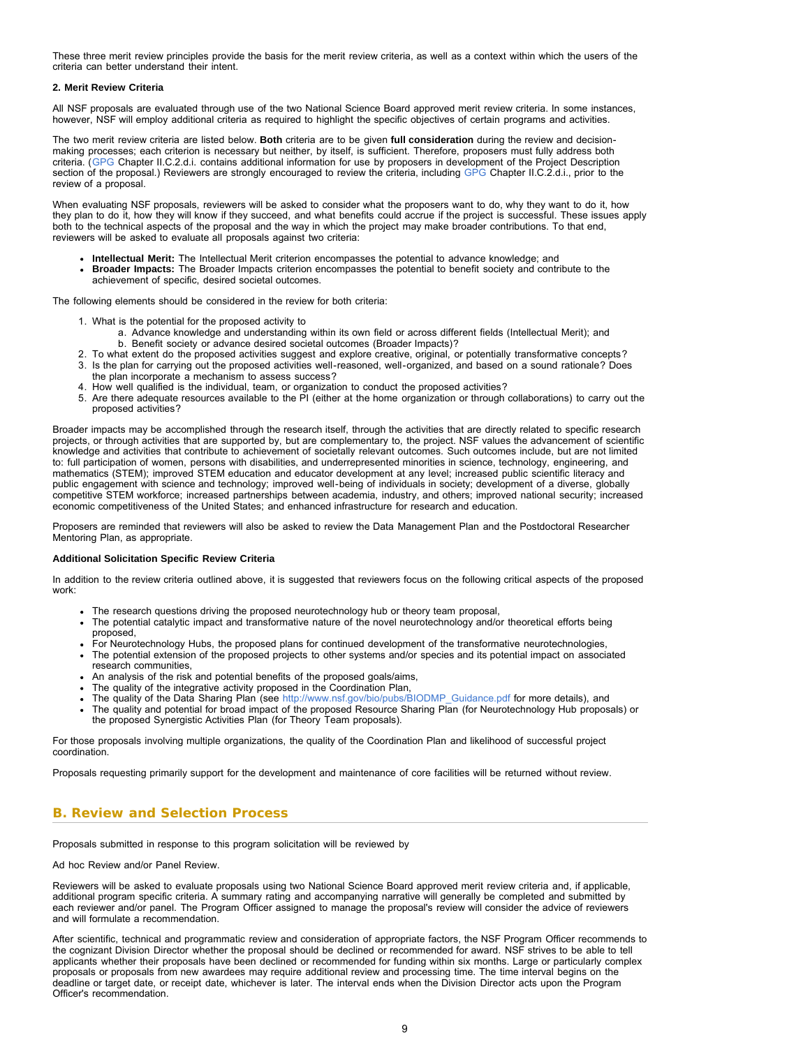These three merit review principles provide the basis for the merit review criteria, as well as a context within which the users of the criteria can better understand their intent.

### **2. Merit Review Criteria**

All NSF proposals are evaluated through use of the two National Science Board approved merit review criteria. In some instances, however, NSF will employ additional criteria as required to highlight the specific objectives of certain programs and activities.

The two merit review criteria are listed below. **Both** criteria are to be given **full consideration** during the review and decisionmaking processes; each criterion is necessary but neither, by itself, is sufficient. Therefore, proposers must fully address both criteria. ([GPG](http://www.nsf.gov/publications/pub_summ.jsp?ods_key=gpg) Chapter II.C.2.d.i. contains additional information for use by proposers in development of the Project Description section of the proposal.) Reviewers are strongly encouraged to review the criteria, including [GPG](http://www.nsf.gov/publications/pub_summ.jsp?ods_key=gpg) Chapter II.C.2.d.i., prior to the review of a proposal.

When evaluating NSF proposals, reviewers will be asked to consider what the proposers want to do, why they want to do it, how they plan to do it, how they will know if they succeed, and what benefits could accrue if the project is successful. These issues apply both to the technical aspects of the proposal and the way in which the project may make broader contributions. To that end, reviewers will be asked to evaluate all proposals against two criteria:

- **Intellectual Merit:** The Intellectual Merit criterion encompasses the potential to advance knowledge; and **Broader Impacts:** The Broader Impacts criterion encompasses the potential to benefit society and contribute to the
- achievement of specific, desired societal outcomes.

The following elements should be considered in the review for both criteria:

- 1. What is the potential for the proposed activity to
	- a. Advance knowledge and understanding within its own field or across different fields (Intellectual Merit); and b. Benefit society or advance desired societal outcomes (Broader Impacts)?
- 2. To what extent do the proposed activities suggest and explore creative, original, or potentially transformative concepts?
- 3. Is the plan for carrying out the proposed activities well-reasoned, well-organized, and based on a sound rationale? Does the plan incorporate a mechanism to assess success?
- 4. How well qualified is the individual, team, or organization to conduct the proposed activities?
- 5. Are there adequate resources available to the PI (either at the home organization or through collaborations) to carry out the proposed activities?

Broader impacts may be accomplished through the research itself, through the activities that are directly related to specific research projects, or through activities that are supported by, but are complementary to, the project. NSF values the advancement of scientific knowledge and activities that contribute to achievement of societally relevant outcomes. Such outcomes include, but are not limited to: full participation of women, persons with disabilities, and underrepresented minorities in science, technology, engineering, and mathematics (STEM); improved STEM education and educator development at any level; increased public scientific literacy and public engagement with science and technology; improved well-being of individuals in society; development of a diverse, globally competitive STEM workforce; increased partnerships between academia, industry, and others; improved national security; increased economic competitiveness of the United States; and enhanced infrastructure for research and education.

Proposers are reminded that reviewers will also be asked to review the Data Management Plan and the Postdoctoral Researcher Mentoring Plan, as appropriate.

### **Additional Solicitation Specific Review Criteria**

In addition to the review criteria outlined above, it is suggested that reviewers focus on the following critical aspects of the proposed work:

- The research questions driving the proposed neurotechnology hub or theory team proposal,
- The potential catalytic impact and transformative nature of the novel neurotechnology and/or theoretical efforts being proposed,
- For Neurotechnology Hubs, the proposed plans for continued development of the transformative neurotechnologies,
- The potential extension of the proposed projects to other systems and/or species and its potential impact on associated research communities,
- An analysis of the risk and potential benefits of the proposed goals/aims,
- The quality of the integrative activity proposed in the Coordination Plan,
- The quality of the Data Sharing Plan (see [http://www.nsf.gov/bio/pubs/BIODMP\\_Guidance.pdf](http://www.nsf.gov/bio/pubs/BIODMP_Guidance.pdf) for more details), and
- The quality and potential for broad impact of the proposed Resource Sharing Plan (for Neurotechnology Hub proposals) or the proposed Synergistic Activities Plan (for Theory Team proposals).

For those proposals involving multiple organizations, the quality of the Coordination Plan and likelihood of successful project coordination.

Proposals requesting primarily support for the development and maintenance of core facilities will be returned without review.

# <span id="page-8-0"></span>**B. Review and Selection Process**

Proposals submitted in response to this program solicitation will be reviewed by

### Ad hoc Review and/or Panel Review.

Reviewers will be asked to evaluate proposals using two National Science Board approved merit review criteria and, if applicable, additional program specific criteria. A summary rating and accompanying narrative will generally be completed and submitted by each reviewer and/or panel. The Program Officer assigned to manage the proposal's review will consider the advice of reviewers and will formulate a recommendation.

After scientific, technical and programmatic review and consideration of appropriate factors, the NSF Program Officer recommends to the cognizant Division Director whether the proposal should be declined or recommended for award. NSF strives to be able to tell applicants whether their proposals have been declined or recommended for funding within six months. Large or particularly complex proposals or proposals from new awardees may require additional review and processing time. The time interval begins on the deadline or target date, or receipt date, whichever is later. The interval ends when the Division Director acts upon the Program Officer's recommendation.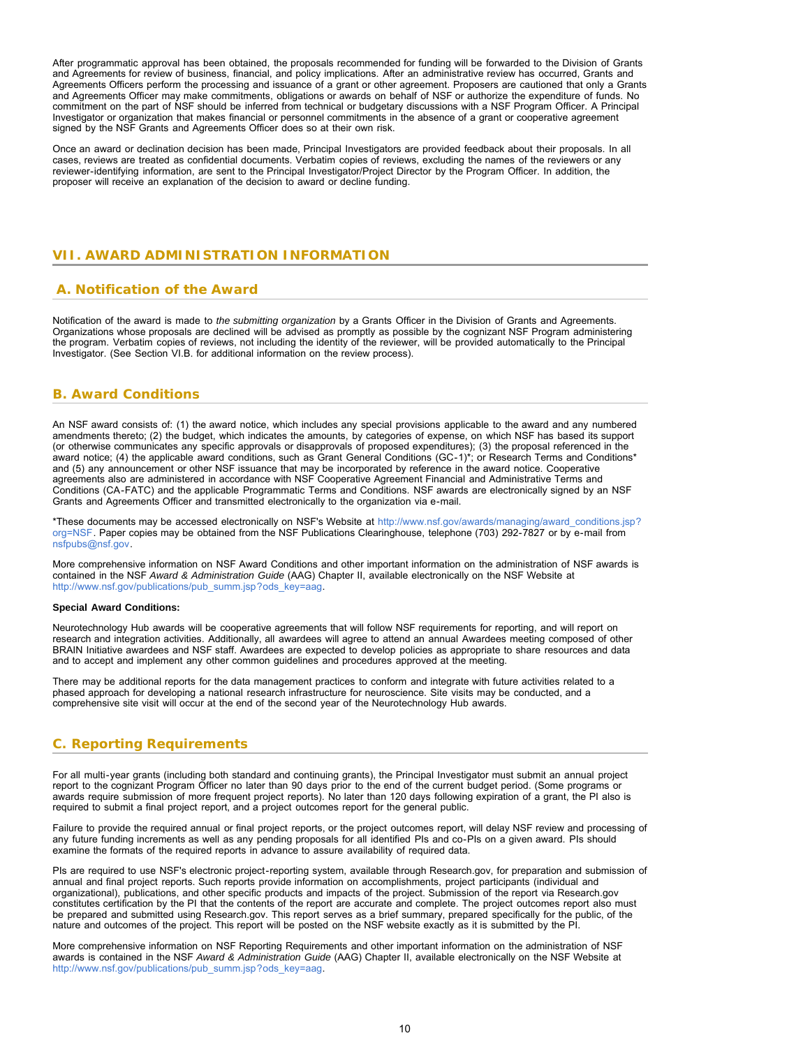After programmatic approval has been obtained, the proposals recommended for funding will be forwarded to the Division of Grants and Agreements for review of business, financial, and policy implications. After an administrative review has occurred, Grants and Agreements Officers perform the processing and issuance of a grant or other agreement. Proposers are cautioned that only a Grants and Agreements Officer may make commitments, obligations or awards on behalf of NSF or authorize the expenditure of funds. No commitment on the part of NSF should be inferred from technical or budgetary discussions with a NSF Program Officer. A Principal Investigator or organization that makes financial or personnel commitments in the absence of a grant or cooperative agreement signed by the NSF Grants and Agreements Officer does so at their own risk.

<span id="page-9-0"></span>Once an award or declination decision has been made, Principal Investigators are provided feedback about their proposals. In all cases, reviews are treated as confidential documents. Verbatim copies of reviews, excluding the names of the reviewers or any reviewer-identifying information, are sent to the Principal Investigator/Project Director by the Program Officer. In addition, the proposer will receive an explanation of the decision to award or decline funding.

# **VII. AWARD ADMINISTRATION INFORMATION**

### <span id="page-9-1"></span> **A. Notification of the Award**

Notification of the award is made to *the submitting organization* by a Grants Officer in the Division of Grants and Agreements. Organizations whose proposals are declined will be advised as promptly as possible by the cognizant NSF Program administering the program. Verbatim copies of reviews, not including the identity of the reviewer, will be provided automatically to the Principal Investigator. (See Section VI.B. for additional information on the review process).

### <span id="page-9-2"></span>**B. Award Conditions**

An NSF award consists of: (1) the award notice, which includes any special provisions applicable to the award and any numbered amendments thereto; (2) the budget, which indicates the amounts, by categories of expense, on which NSF has based its support (or otherwise communicates any specific approvals or disapprovals of proposed expenditures); (3) the proposal referenced in the award notice; (4) the applicable award conditions, such as Grant General Conditions (GC-1)\*; or Research Terms and Conditions\* and (5) any announcement or other NSF issuance that may be incorporated by reference in the award notice. Cooperative agreements also are administered in accordance with NSF Cooperative Agreement Financial and Administrative Terms and Conditions (CA-FATC) and the applicable Programmatic Terms and Conditions. NSF awards are electronically signed by an NSF Grants and Agreements Officer and transmitted electronically to the organization via e-mail.

\*These documents may be accessed electronically on NSF's Website at [http://www.nsf.gov/awards/managing/award\\_conditions.jsp?](http://www.nsf.gov/awards/managing/award_conditions.jsp?org=NSF) [org=NSF.](http://www.nsf.gov/awards/managing/award_conditions.jsp?org=NSF) Paper copies may be obtained from the NSF Publications Clearinghouse, telephone (703) 292-7827 or by e-mail from [nsfpubs@nsf.gov.](mailto:nsfpubs@nsf.gov)

More comprehensive information on NSF Award Conditions and other important information on the administration of NSF awards is contained in the NSF *Award & Administration Guide* (AAG) Chapter II, available electronically on the NSF Website at [http://www.nsf.gov/publications/pub\\_summ.jsp?ods\\_key=aag.](http://www.nsf.gov/publications/pub_summ.jsp?ods_key=aag)

#### **Special Award Conditions:**

Neurotechnology Hub awards will be cooperative agreements that will follow NSF requirements for reporting, and will report on research and integration activities. Additionally, all awardees will agree to attend an annual Awardees meeting composed of other BRAIN Initiative awardees and NSF staff. Awardees are expected to develop policies as appropriate to share resources and data and to accept and implement any other common guidelines and procedures approved at the meeting.

There may be additional reports for the data management practices to conform and integrate with future activities related to a phased approach for developing a national research infrastructure for neuroscience. Site visits may be conducted, and a comprehensive site visit will occur at the end of the second year of the Neurotechnology Hub awards.

# <span id="page-9-3"></span>**C. Reporting Requirements**

For all multi-year grants (including both standard and continuing grants), the Principal Investigator must submit an annual project report to the cognizant Program Officer no later than 90 days prior to the end of the current budget period. (Some programs or awards require submission of more frequent project reports). No later than 120 days following expiration of a grant, the PI also is required to submit a final project report, and a project outcomes report for the general public.

Failure to provide the required annual or final project reports, or the project outcomes report, will delay NSF review and processing of any future funding increments as well as any pending proposals for all identified PIs and co-PIs on a given award. PIs should examine the formats of the required reports in advance to assure availability of required data.

PIs are required to use NSF's electronic project-reporting system, available through Research.gov, for preparation and submission of annual and final project reports. Such reports provide information on accomplishments, project participants (individual and organizational), publications, and other specific products and impacts of the project. Submission of the report via Research.gov constitutes certification by the PI that the contents of the report are accurate and complete. The project outcomes report also must be prepared and submitted using Research.gov. This report serves as a brief summary, prepared specifically for the public, of the nature and outcomes of the project. This report will be posted on the NSF website exactly as it is submitted by the PI.

<span id="page-9-4"></span>More comprehensive information on NSF Reporting Requirements and other important information on the administration of NSF awards is contained in the NSF *Award & Administration Guide* (AAG) Chapter II, available electronically on the NSF Website at [http://www.nsf.gov/publications/pub\\_summ.jsp?ods\\_key=aag.](http://www.nsf.gov/publications/pub_summ.jsp?ods_key=aag)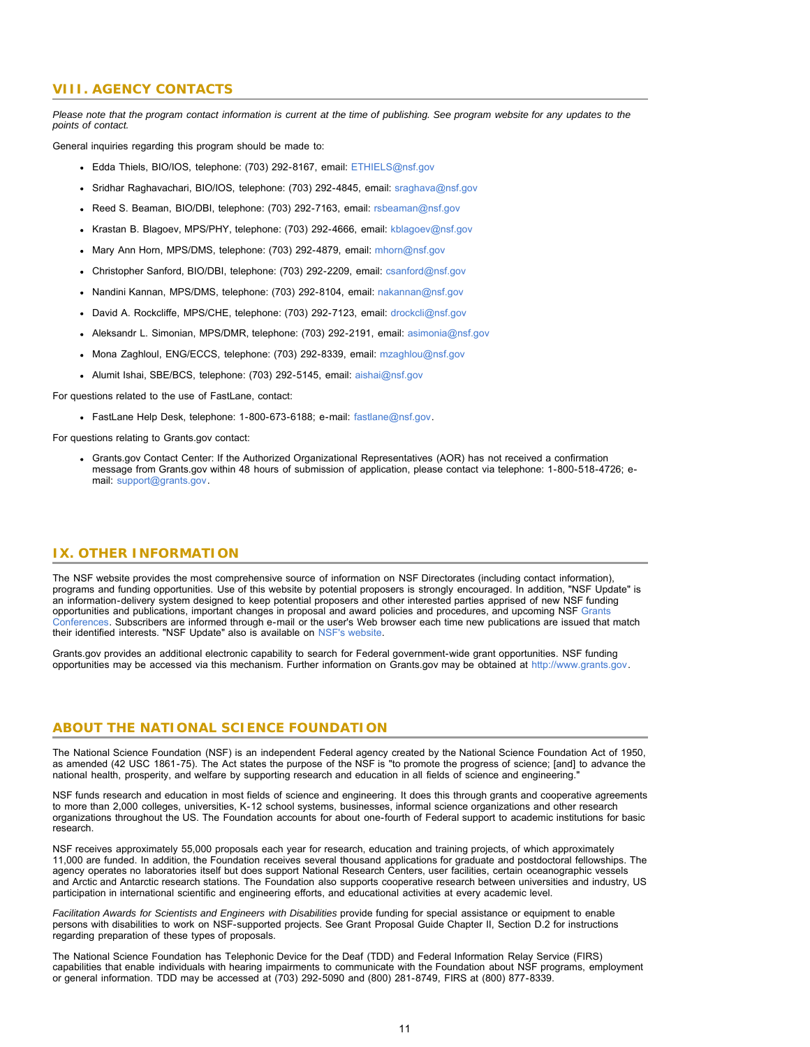### **VIII. AGENCY CONTACTS**

*Please note that the program contact information is current at the time of publishing. See program website for any updates to the points of contact.*

General inquiries regarding this program should be made to:

- Edda Thiels, BIO/IOS, telephone: (703) 292-8167, email: [ETHIELS@nsf.gov](mailto:ETHIELS@nsf.gov)
- Sridhar Raghavachari, BIO/IOS, telephone: (703) 292-4845, email: [sraghava@nsf.gov](mailto:sraghava@nsf.gov)
- Reed S. Beaman, BIO/DBI, telephone: (703) 292-7163, email: [rsbeaman@nsf.gov](mailto:rsbeaman@nsf.gov)
- Krastan B. Blagoev, MPS/PHY, telephone: (703) 292-4666, email: [kblagoev@nsf.gov](mailto:kblagoev@nsf.gov)
- Mary Ann Horn, MPS/DMS, telephone: (703) 292-4879, email: [mhorn@nsf.gov](mailto:mhorn@nsf.gov)
- Christopher Sanford, BIO/DBI, telephone: (703) 292-2209, email: [csanford@nsf.gov](mailto:csanford@nsf.gov)
- Nandini Kannan, MPS/DMS, telephone: (703) 292-8104, email: [nakannan@nsf.gov](mailto:nakannan@nsf.gov)
- David A. Rockcliffe, MPS/CHE, telephone: (703) 292-7123, email: [drockcli@nsf.gov](mailto:drockcli@nsf.gov)
- Aleksandr L. Simonian, MPS/DMR, telephone: (703) 292-2191, email: [asimonia@nsf.gov](mailto:asimonia@nsf.gov)
- Mona Zaghloul, ENG/ECCS, telephone: (703) 292-8339, email: [mzaghlou@nsf.gov](mailto:mzaghlou@nsf.gov)
- Alumit Ishai, SBE/BCS, telephone: (703) 292-5145, email: [aishai@nsf.gov](mailto:aishai@nsf.gov)

For questions related to the use of FastLane, contact:

FastLane Help Desk, telephone: 1-800-673-6188; e-mail: [fastlane@nsf.gov.](mailto:fastlane@nsf.gov)

For questions relating to Grants.gov contact:

Grants.gov Contact Center: If the Authorized Organizational Representatives (AOR) has not received a confirmation message from Grants.gov within 48 hours of submission of application, please contact via telephone: 1-800-518-4726; email: [support@grants.gov.](mailto:support@grants.gov)

### <span id="page-10-0"></span>**IX. OTHER INFORMATION**

The NSF website provides the most comprehensive source of information on NSF Directorates (including contact information), programs and funding opportunities. Use of this website by potential proposers is strongly encouraged. In addition, "NSF Update" is an information-delivery system designed to keep potential proposers and other interested parties apprised of new NSF funding opportunities and publications, important changes in proposal and award policies and procedures, and upcoming NSF [Grants](http://www.nsf.gov/bfa/dias/policy/outreach.jsp) [Conferences.](http://www.nsf.gov/bfa/dias/policy/outreach.jsp) Subscribers are informed through e-mail or the user's Web browser each time new publications are issued that match their identified interests. "NSF Update" also is available on [NSF's website.](http://www.nsf.gov/cgi-bin/good-bye?https://public.govdelivery.com/accounts/USNSF/subscriber/new?topic_id=USNSF_179)

Grants.gov provides an additional electronic capability to search for Federal government-wide grant opportunities. NSF funding opportunities may be accessed via this mechanism. Further information on Grants.gov may be obtained at [http://www.grants.gov.](http://www.grants.gov/)

### **ABOUT THE NATIONAL SCIENCE FOUNDATION**

The National Science Foundation (NSF) is an independent Federal agency created by the National Science Foundation Act of 1950, as amended (42 USC 1861-75). The Act states the purpose of the NSF is "to promote the progress of science; [and] to advance the national health, prosperity, and welfare by supporting research and education in all fields of science and engineering."

NSF funds research and education in most fields of science and engineering. It does this through grants and cooperative agreements to more than 2,000 colleges, universities, K-12 school systems, businesses, informal science organizations and other research organizations throughout the US. The Foundation accounts for about one-fourth of Federal support to academic institutions for basic research.

NSF receives approximately 55,000 proposals each year for research, education and training projects, of which approximately 11,000 are funded. In addition, the Foundation receives several thousand applications for graduate and postdoctoral fellowships. The agency operates no laboratories itself but does support National Research Centers, user facilities, certain oceanographic vessels and Arctic and Antarctic research stations. The Foundation also supports cooperative research between universities and industry, US participation in international scientific and engineering efforts, and educational activities at every academic level.

*Facilitation Awards for Scientists and Engineers with Disabilities* provide funding for special assistance or equipment to enable persons with disabilities to work on NSF-supported projects. See Grant Proposal Guide Chapter II, Section D.2 for instructions regarding preparation of these types of proposals.

The National Science Foundation has Telephonic Device for the Deaf (TDD) and Federal Information Relay Service (FIRS) capabilities that enable individuals with hearing impairments to communicate with the Foundation about NSF programs, employment or general information. TDD may be accessed at (703) 292-5090 and (800) 281-8749, FIRS at (800) 877-8339.